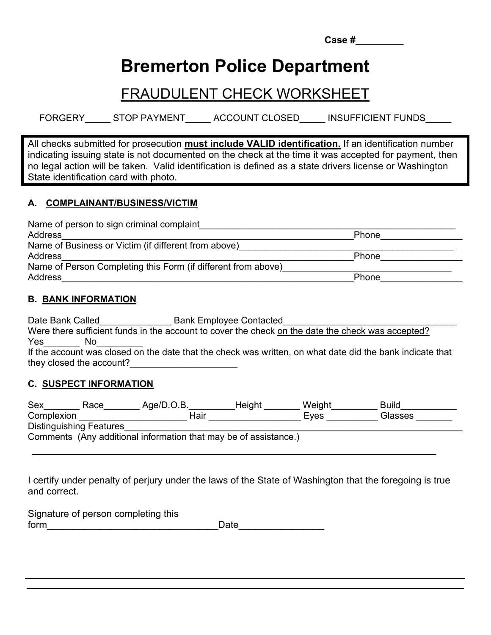| <b>Case</b> # |  |  |  |  |
|---------------|--|--|--|--|
|               |  |  |  |  |

# **Bremerton Police Department**

# FRAUDULENT CHECK WORKSHEET

FORGERY STOP PAYMENT ACCOUNT CLOSED INSUFFICIENT FUNDS

All checks submitted for prosecution **must include VALID identification.** If an identification number indicating issuing state is not documented on the check at the time it was accepted for payment, then no legal action will be taken. Valid identification is defined as a state drivers license or Washington State identification card with photo.

## **A. COMPLAINANT/BUSINESS/VICTIM**

| Name of person to sign criminal complaint                     |              |  |
|---------------------------------------------------------------|--------------|--|
| Address                                                       | <b>Phone</b> |  |
| Name of Business or Victim (if different from above)          |              |  |
| Address                                                       | Phone        |  |
| Name of Person Completing this Form (if different from above) |              |  |
| Address                                                       | Phone        |  |

#### **B. BANK INFORMATION**

Date Bank Called **Date Bank Called** Bank Employee Contacted Were there sufficient funds in the account to cover the check on the date the check was accepted? Yes\_\_\_\_\_\_\_ No\_\_\_\_\_\_\_\_\_ If the account was closed on the date that the check was written, on what date did the bank indicate that they closed the account?

#### **C. SUSPECT INFORMATION**

| Sex                     | Race | Aqe/D.O.B.                                                       | Height | Weight | <b>Build</b> |
|-------------------------|------|------------------------------------------------------------------|--------|--------|--------------|
| Complexion              |      | Hair                                                             |        | Eves   | Glasses      |
| Distinguishing Features |      |                                                                  |        |        |              |
|                         |      | Comments (Any additional information that may be of assistance.) |        |        |              |

I certify under penalty of perjury under the laws of the State of Washington that the foregoing is true and correct.

| Signature of person completing this |      |  |
|-------------------------------------|------|--|
| form                                | Date |  |